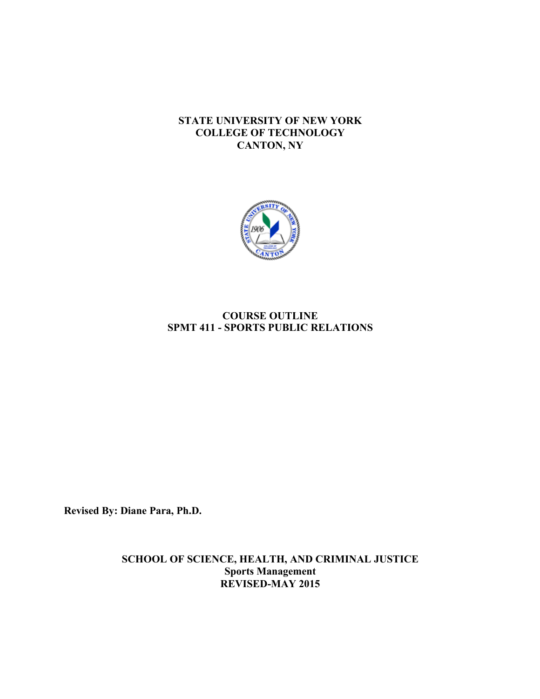## **STATE UNIVERSITY OF NEW YORK COLLEGE OF TECHNOLOGY CANTON, NY**



# **SPMT 411 - SPORTS PUBLIC RELATIONS COURSE OUTLINE**

**Revised By: Diane Para, Ph.D.** 

**SCHOOL OF SCIENCE, HEALTH, AND CRIMINAL JUSTICE Sports Management REVISED-MAY 2015**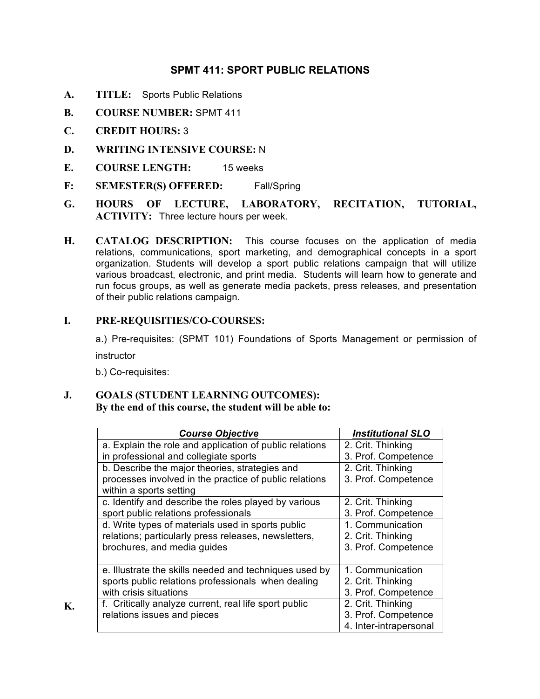# **SPMT 411: SPORT PUBLIC RELATIONS**

- **A. TITLE:** Sports Public Relations
- **B. COURSE NUMBER:** SPMT 411
- **C. CREDIT HOURS:** 3
- **D. WRITING INTENSIVE COURSE:** N
- **E. COURSE LENGTH:** 15 weeks
- **F: SEMESTER(S) OFFERED:** Fall/Spring
- **HOURS** OF LECTURE, **ACTIVITY:** Three lecture hours per week. **G. HOURS OF LECTURE, LABORATORY, RECITATION, TUTORIAL,**
- **H. CATALOG DESCRIPTION:** This course focuses on the application of media relations, communications, sport marketing, and demographical concepts in a sport organization. Students will develop a sport public relations campaign that will utilize various broadcast, electronic, and print media. Students will learn how to generate and run focus groups, as well as generate media packets, press releases, and presentation of their public relations campaign.

## **I. PRE-REQUISITIES/CO-COURSES:**

 a.) Pre-requisites: (SPMT 101) Foundations of Sports Management or permission of instructor

b.) Co-requisites:

**K.**

### **J. GOALS (STUDENT LEARNING OUTCOMES): By the end of this course, the student will be able to:**

| <b>Course Objective</b>                                 | <b>Institutional SLO</b> |
|---------------------------------------------------------|--------------------------|
| a. Explain the role and application of public relations | 2. Crit. Thinking        |
| in professional and collegiate sports                   | 3. Prof. Competence      |
| b. Describe the major theories, strategies and          | 2. Crit. Thinking        |
| processes involved in the practice of public relations  | 3. Prof. Competence      |
| within a sports setting                                 |                          |
| c. Identify and describe the roles played by various    | 2. Crit. Thinking        |
| sport public relations professionals                    | 3. Prof. Competence      |
| d. Write types of materials used in sports public       | 1. Communication         |
| relations; particularly press releases, newsletters,    | 2. Crit. Thinking        |
| brochures, and media guides                             | 3. Prof. Competence      |
|                                                         |                          |
| e. Illustrate the skills needed and techniques used by  | 1. Communication         |
| sports public relations professionals when dealing      | 2. Crit. Thinking        |
| with crisis situations                                  | 3. Prof. Competence      |
| f. Critically analyze current, real life sport public   | 2. Crit. Thinking        |
| relations issues and pieces                             | 3. Prof. Competence      |
|                                                         | 4. Inter-intrapersonal   |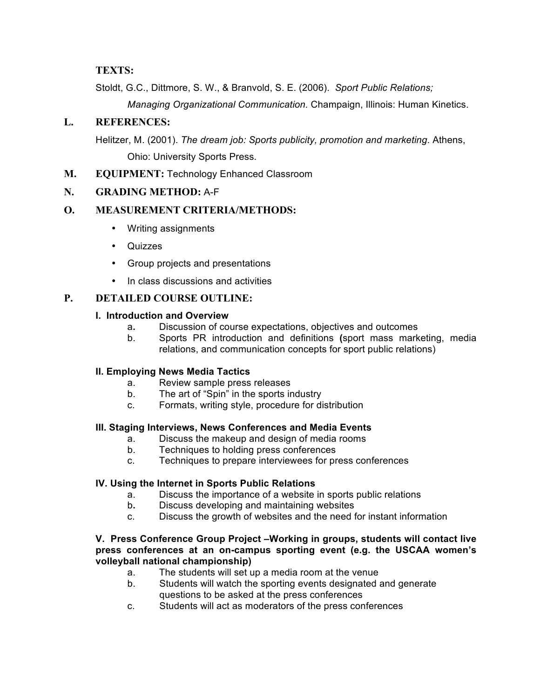## **TEXTS:**

Stoldt, G.C., Dittmore, S. W., & Branvold, S. E. (2006). *Sport Public Relations;* 

*Managing Organizational Communication.* Champaign, Illinois: Human Kinetics.

## **L. REFERENCES:**

 Helitzer, M. (2001). *The dream job: Sports publicity, promotion and marketing*. Athens, Ohio: University Sports Press.

**M. EQUIPMENT:** Technology Enhanced Classroom

## **N. GRADING METHOD:** A-F

## **O. MEASUREMENT CRITERIA/METHODS:**

- Writing assignments
- Quizzes
- Group projects and presentations
- In class discussions and activities

## **P. DETAILED COURSE OUTLINE:**

### **I. Introduction and Overview**

- a**.** Discussion of course expectations, objectives and outcomes
- $b_{-}$  relations, and communication concepts for sport public relations) Sports PR introduction and definitions (sport mass marketing, media

### **II. Employing News Media Tactics**

- a. Review sample press releases
- b. The art of "Spin" in the sports industry
- c. Formats, writing style, procedure for distribution

### **III. Staging Interviews, News Conferences and Media Events**

- a. Discuss the makeup and design of media rooms
- $b_{-}$ Techniques to holding press conferences
- C. Techniques to prepare interviewees for press conferences

### **IV. Using the Internet in Sports Public Relations**

- a. Discuss the importance of a website in sports public relations
- b. Discuss developing and maintaining websites
- c. Discuss the growth of websites and the need for instant information

#### **V. Press Conference Group Project –Working in groups, students will contact live press conferences at an on-campus sporting event (e.g. the USCAA women's volleyball national championship)**

- a. The students will set up a media room at the venue
- b. Students will watch the sporting events designated and generate questions to be asked at the press conferences
- c. Students will act as moderators of the press conferences